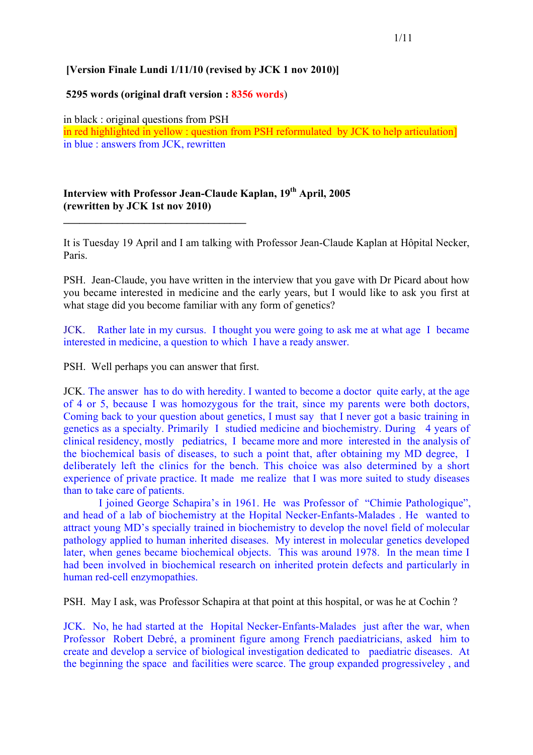## **[Version Finale Lundi 1/11/10 (revised by JCK 1 nov 2010)]**

### **5295 words (original draft version : 8356 words**)

in black : original questions from PSH in red highlighted in yellow : question from PSH reformulated by JCK to help articulation] in blue : answers from JCK, rewritten

# **Interview with Professor Jean-Claude Kaplan, 19th April, 2005 (rewritten by JCK 1st nov 2010)**

It is Tuesday 19 April and I am talking with Professor Jean-Claude Kaplan at Hôpital Necker, Paris.

PSH. Jean-Claude, you have written in the interview that you gave with Dr Picard about how you became interested in medicine and the early years, but I would like to ask you first at what stage did you become familiar with any form of genetics?

JCK. Rather late in my cursus. I thought you were going to ask me at what age I became interested in medicine, a question to which I have a ready answer.

PSH. Well perhaps you can answer that first.

**\_\_\_\_\_\_\_\_\_\_\_\_\_\_\_\_\_\_\_\_\_\_\_\_\_\_\_\_\_\_\_\_\_\_**

JCK. The answer has to do with heredity. I wanted to become a doctor quite early, at the age of 4 or 5, because I was homozygous for the trait, since my parents were both doctors, Coming back to your question about genetics, I must say that I never got a basic training in genetics as a specialty. Primarily I studied medicine and biochemistry. During 4 years of clinical residency, mostly pediatrics, I became more and more interested in the analysis of the biochemical basis of diseases, to such a point that, after obtaining my MD degree, I deliberately left the clinics for the bench. This choice was also determined by a short experience of private practice. It made me realize that I was more suited to study diseases than to take care of patients.

I joined George Schapira's in 1961. He was Professor of "Chimie Pathologique", and head of a lab of biochemistry at the Hopital Necker-Enfants-Malades . He wanted to attract young MD's specially trained in biochemistry to develop the novel field of molecular pathology applied to human inherited diseases. My interest in molecular genetics developed later, when genes became biochemical objects. This was around 1978. In the mean time I had been involved in biochemical research on inherited protein defects and particularly in human red-cell enzymopathies.

PSH. May I ask, was Professor Schapira at that point at this hospital, or was he at Cochin ?

JCK. No, he had started at the Hopital Necker-Enfants-Malades just after the war, when Professor Robert Debré, a prominent figure among French paediatricians, asked him to create and develop a service of biological investigation dedicated to paediatric diseases. At the beginning the space and facilities were scarce. The group expanded progressiveley , and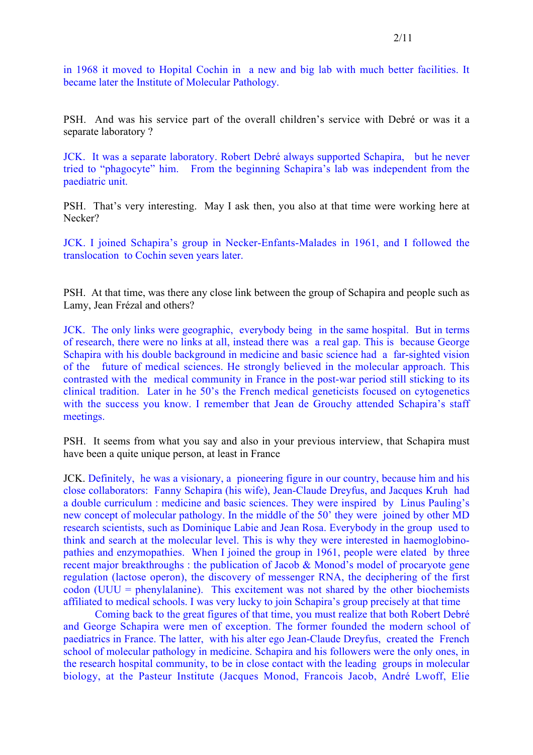in 1968 it moved to Hopital Cochin in a new and big lab with much better facilities. It became later the Institute of Molecular Pathology.

PSH. And was his service part of the overall children's service with Debré or was it a separate laboratory ?

JCK. It was a separate laboratory. Robert Debré always supported Schapira, but he never tried to "phagocyte" him. From the beginning Schapira's lab was independent from the paediatric unit.

PSH. That's very interesting. May I ask then, you also at that time were working here at Necker?

JCK. I joined Schapira's group in Necker-Enfants-Malades in 1961, and I followed the translocation to Cochin seven years later.

PSH. At that time, was there any close link between the group of Schapira and people such as Lamy, Jean Frézal and others?

JCK. The only links were geographic, everybody being in the same hospital. But in terms of research, there were no links at all, instead there was a real gap. This is because George Schapira with his double background in medicine and basic science had a far-sighted vision of the future of medical sciences. He strongly believed in the molecular approach. This contrasted with the medical community in France in the post-war period still sticking to its clinical tradition. Later in he 50's the French medical geneticists focused on cytogenetics with the success you know. I remember that Jean de Grouchy attended Schapira's staff meetings.

PSH. It seems from what you say and also in your previous interview, that Schapira must have been a quite unique person, at least in France

JCK. Definitely, he was a visionary, a pioneering figure in our country, because him and his close collaborators: Fanny Schapira (his wife), Jean-Claude Dreyfus, and Jacques Kruh had a double curriculum : medicine and basic sciences. They were inspired by Linus Pauling's new concept of molecular pathology. In the middle of the 50' they were joined by other MD research scientists, such as Dominique Labie and Jean Rosa. Everybody in the group used to think and search at the molecular level. This is why they were interested in haemoglobinopathies and enzymopathies. When I joined the group in 1961, people were elated by three recent major breakthroughs : the publication of Jacob & Monod's model of procaryote gene regulation (lactose operon), the discovery of messenger RNA, the deciphering of the first codon (UUU = phenylalanine). This excitement was not shared by the other biochemists affiliated to medical schools. I was very lucky to join Schapira's group precisely at that time

Coming back to the great figures of that time, you must realize that both Robert Debré and George Schapira were men of exception. The former founded the modern school of paediatrics in France. The latter, with his alter ego Jean-Claude Dreyfus, created the French school of molecular pathology in medicine. Schapira and his followers were the only ones, in the research hospital community, to be in close contact with the leading groups in molecular biology, at the Pasteur Institute (Jacques Monod, Francois Jacob, André Lwoff, Elie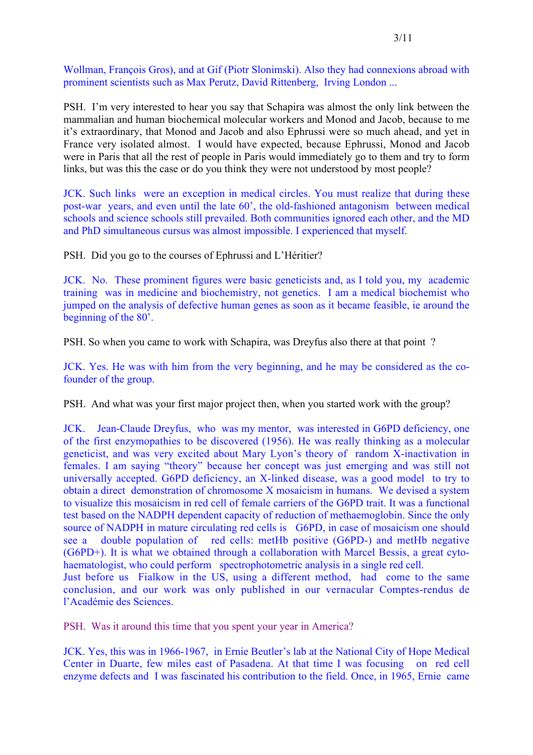Wollman, François Gros), and at Gif (Piotr Slonimski). Also they had connexions abroad with prominent scientists such as Max Perutz, David Rittenberg, Irving London ...

PSH. I'm very interested to hear you say that Schapira was almost the only link between the mammalian and human biochemical molecular workers and Monod and Jacob, because to me it's extraordinary, that Monod and Jacob and also Ephrussi were so much ahead, and yet in France very isolated almost. I would have expected, because Ephrussi, Monod and Jacob were in Paris that all the rest of people in Paris would immediately go to them and try to form links, but was this the case or do you think they were not understood by most people?

JCK. Such links were an exception in medical circles. You must realize that during these post-war years, and even until the late 60', the old-fashioned antagonism between medical schools and science schools still prevailed. Both communities ignored each other, and the MD and PhD simultaneous cursus was almost impossible. I experienced that myself.

PSH. Did you go to the courses of Ephrussi and L'Héritier?

JCK. No. These prominent figures were basic geneticists and, as I told you, my academic training was in medicine and biochemistry, not genetics. I am a medical biochemist who jumped on the analysis of defective human genes as soon as it became feasible, ie around the beginning of the 80'.

PSH. So when you came to work with Schapira, was Dreyfus also there at that point ?

JCK. Yes. He was with him from the very beginning, and he may be considered as the cofounder of the group.

PSH. And what was your first major project then, when you started work with the group?

JCK. Jean-Claude Dreyfus, who was my mentor, was interested in G6PD deficiency, one of the first enzymopathies to be discovered (1956). He was really thinking as a molecular geneticist, and was very excited about Mary Lyon's theory of random X-inactivation in females. I am saying "theory" because her concept was just emerging and was still not universally accepted. G6PD deficiency, an X-linked disease, was a good model to try to obtain a direct demonstration of chromosome X mosaicism in humans. We devised a system to visualize this mosaicism in red cell of female carriers of the G6PD trait. It was a functional test based on the NADPH dependent capacity of reduction of methaemoglobin. Since the only source of NADPH in mature circulating red cells is G6PD, in case of mosaicism one should see a double population of red cells: metHb positive (G6PD-) and metHb negative (G6PD+). It is what we obtained through a collaboration with Marcel Bessis, a great cytohaematologist, who could perform spectrophotometric analysis in a single red cell. Just before us Fialkow in the US, using a different method, had come to the same conclusion, and our work was only published in our vernacular Comptes-rendus de l'Académie des Sciences.

PSH. Was it around this time that you spent your year in America?

JCK. Yes, this was in 1966-1967, in Ernie Beutler's lab at the National City of Hope Medical Center in Duarte, few miles east of Pasadena. At that time I was focusing on red cell enzyme defects and I was fascinated his contribution to the field. Once, in 1965, Ernie came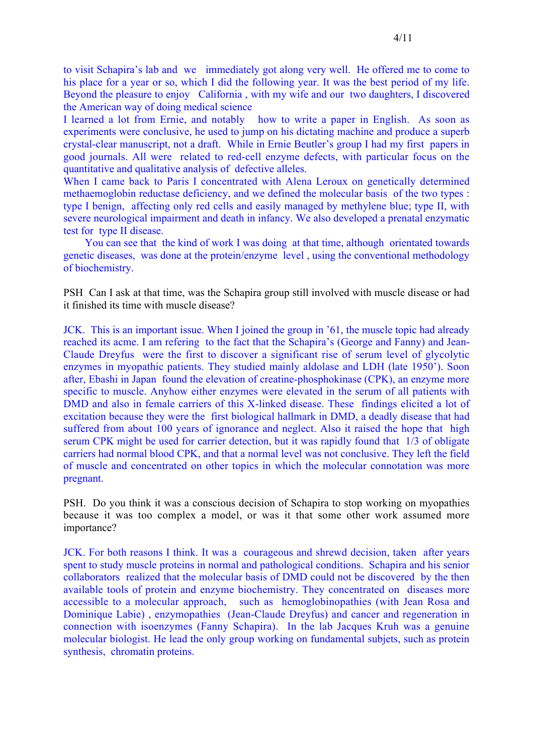to visit Schapira's lab and we immediately got along very well. He offered me to come to his place for a year or so, which I did the following year. It was the best period of my life. Beyond the pleasure to enjoy California , with my wife and our two daughters, I discovered the American way of doing medical science

I learned a lot from Ernie, and notably how to write a paper in English. As soon as experiments were conclusive, he used to jump on his dictating machine and produce a superb crystal-clear manuscript, not a draft. While in Ernie Beutler's group I had my first papers in good journals. All were related to red-cell enzyme defects, with particular focus on the quantitative and qualitative analysis of defective alleles.

When I came back to Paris I concentrated with Alena Leroux on genetically determined methaemoglobin reductase deficiency, and we defined the molecular basis of the two types : type I benign, affecting only red cells and easily managed by methylene blue; type II, with severe neurological impairment and death in infancy. We also developed a prenatal enzymatic test for type II disease.

 You can see that the kind of work I was doing at that time, although orientated towards genetic diseases, was done at the protein/enzyme level , using the conventional methodology of biochemistry.

PSH Can I ask at that time, was the Schapira group still involved with muscle disease or had it finished its time with muscle disease?

JCK. This is an important issue. When I joined the group in '61, the muscle topic had already reached its acme. I am refering to the fact that the Schapira's (George and Fanny) and Jean-Claude Dreyfus were the first to discover a significant rise of serum level of glycolytic enzymes in myopathic patients. They studied mainly aldolase and LDH (late 1950'). Soon after, Ebashi in Japan found the elevation of creatine-phosphokinase (CPK), an enzyme more specific to muscle. Anyhow either enzymes were elevated in the serum of all patients with DMD and also in female carriers of this X-linked disease. These findings elicited a lot of excitation because they were the first biological hallmark in DMD, a deadly disease that had suffered from about 100 years of ignorance and neglect. Also it raised the hope that high serum CPK might be used for carrier detection, but it was rapidly found that 1/3 of obligate carriers had normal blood CPK, and that a normal level was not conclusive. They left the field of muscle and concentrated on other topics in which the molecular connotation was more pregnant.

PSH. Do you think it was a conscious decision of Schapira to stop working on myopathies because it was too complex a model, or was it that some other work assumed more importance?

JCK. For both reasons I think. It was a courageous and shrewd decision, taken after years spent to study muscle proteins in normal and pathological conditions. Schapira and his senior collaborators realized that the molecular basis of DMD could not be discovered by the then available tools of protein and enzyme biochemistry. They concentrated on diseases more accessible to a molecular approach, such as hemoglobinopathies (with Jean Rosa and Dominique Labie) , enzymopathies (Jean-Claude Dreyfus) and cancer and regeneration in connection with isoenzymes (Fanny Schapira). In the lab Jacques Kruh was a genuine molecular biologist. He lead the only group working on fundamental subjets, such as protein synthesis, chromatin proteins.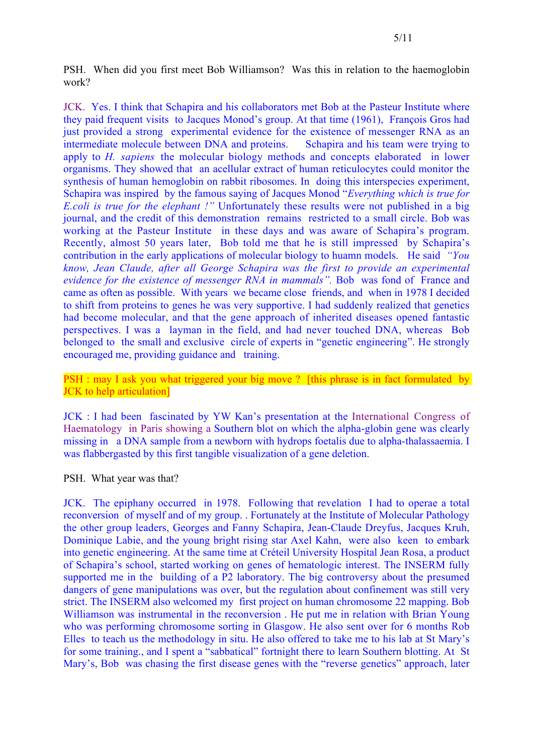PSH. When did you first meet Bob Williamson? Was this in relation to the haemoglobin work?

JCK. Yes. I think that Schapira and his collaborators met Bob at the Pasteur Institute where they paid frequent visits to Jacques Monod's group. At that time (1961), François Gros had just provided a strong experimental evidence for the existence of messenger RNA as an intermediate molecule between DNA and proteins. Schapira and his team were trying to apply to *H. sapiens* the molecular biology methods and concepts elaborated in lower organisms. They showed that an acellular extract of human reticulocytes could monitor the synthesis of human hemoglobin on rabbit ribosomes. In doing this interspecies experiment, Schapira was inspired by the famous saying of Jacques Monod "*Everything which is true for E.coli is true for the elephant !"* Unfortunately these results were not published in a big journal, and the credit of this demonstration remains restricted to a small circle. Bob was working at the Pasteur Institute in these days and was aware of Schapira's program. Recently, almost 50 years later, Bob told me that he is still impressed by Schapira's contribution in the early applications of molecular biology to huamn models. He said *"You know, Jean Claude, after all George Schapira was the first to provide an experimental evidence for the existence of messenger RNA in mammals".* Bob was fond of France and came as often as possible. With years we became close friends, and when in 1978 I decided to shift from proteins to genes he was very supportive. I had suddenly realized that genetics had become molecular, and that the gene approach of inherited diseases opened fantastic perspectives. I was a layman in the field, and had never touched DNA, whereas Bob belonged to the small and exclusive circle of experts in "genetic engineering". He strongly encouraged me, providing guidance and training.

PSH : may I ask you what triggered your big move ? [this phrase is in fact formulated by JCK to help articulation]

JCK : I had been fascinated by YW Kan's presentation at the International Congress of Haematology in Paris showing a Southern blot on which the alpha-globin gene was clearly missing in a DNA sample from a newborn with hydrops foetalis due to alpha-thalassaemia. I was flabbergasted by this first tangible visualization of a gene deletion.

PSH. What year was that?

JCK. The epiphany occurred in 1978. Following that revelation I had to operae a total reconversion of myself and of my group. . Fortunately at the Institute of Molecular Pathology the other group leaders, Georges and Fanny Schapira, Jean-Claude Dreyfus, Jacques Kruh, Dominique Labie, and the young bright rising star Axel Kahn, were also keen to embark into genetic engineering. At the same time at Créteil University Hospital Jean Rosa, a product of Schapira's school, started working on genes of hematologic interest. The INSERM fully supported me in the building of a P2 laboratory. The big controversy about the presumed dangers of gene manipulations was over, but the regulation about confinement was still very strict. The INSERM also welcomed my first project on human chromosome 22 mapping. Bob Williamson was instrumental in the reconversion . He put me in relation with Brian Young who was performing chromosome sorting in Glasgow. He also sent over for 6 months Rob Elles to teach us the methodology in situ. He also offered to take me to his lab at St Mary's for some training., and I spent a "sabbatical" fortnight there to learn Southern blotting. At St Mary's, Bob was chasing the first disease genes with the "reverse genetics" approach, later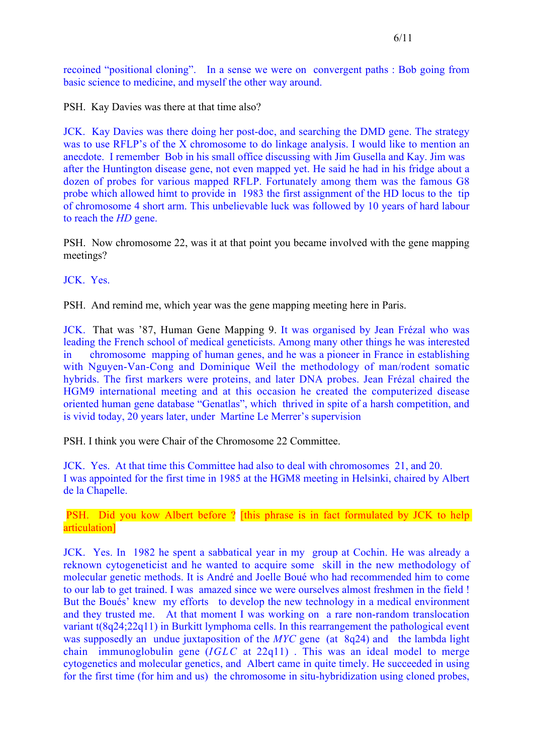recoined "positional cloning". In a sense we were on convergent paths : Bob going from basic science to medicine, and myself the other way around.

PSH. Kay Davies was there at that time also?

JCK. Kay Davies was there doing her post-doc, and searching the DMD gene. The strategy was to use RFLP's of the X chromosome to do linkage analysis. I would like to mention an anecdote. I remember Bob in his small office discussing with Jim Gusella and Kay. Jim was after the Huntington disease gene, not even mapped yet. He said he had in his fridge about a dozen of probes for various mapped RFLP. Fortunately among them was the famous G8 probe which allowed himt to provide in 1983 the first assignment of the HD locus to the tip of chromosome 4 short arm. This unbelievable luck was followed by 10 years of hard labour to reach the *HD* gene.

PSH. Now chromosome 22, was it at that point you became involved with the gene mapping meetings?

JCK. Yes.

PSH. And remind me, which year was the gene mapping meeting here in Paris.

JCK. That was '87, Human Gene Mapping 9. It was organised by Jean Frézal who was leading the French school of medical geneticists. Among many other things he was interested in chromosome mapping of human genes, and he was a pioneer in France in establishing with Nguyen-Van-Cong and Dominique Weil the methodology of man/rodent somatic hybrids. The first markers were proteins, and later DNA probes. Jean Frézal chaired the HGM9 international meeting and at this occasion he created the computerized disease oriented human gene database "Genatlas", which thrived in spite of a harsh competition, and is vivid today, 20 years later, under Martine Le Merrer's supervision

PSH. I think you were Chair of the Chromosome 22 Committee.

JCK. Yes. At that time this Committee had also to deal with chromosomes 21, and 20. I was appointed for the first time in 1985 at the HGM8 meeting in Helsinki, chaired by Albert de la Chapelle.

PSH. Did you kow Albert before ? [this phrase is in fact formulated by JCK to help articulation]

JCK. Yes. In 1982 he spent a sabbatical year in my group at Cochin. He was already a reknown cytogeneticist and he wanted to acquire some skill in the new methodology of molecular genetic methods. It is André and Joelle Boué who had recommended him to come to our lab to get trained. I was amazed since we were ourselves almost freshmen in the field ! But the Boués' knew my efforts to develop the new technology in a medical environment and they trusted me. At that moment I was working on a rare non-random translocation variant t(8q24;22q11) in Burkitt lymphoma cells. In this rearrangement the pathological event was supposedly an undue juxtaposition of the *MYC* gene (at 8q24) and the lambda light chain immunoglobulin gene (*IGLC* at 22q11) . This was an ideal model to merge cytogenetics and molecular genetics, and Albert came in quite timely. He succeeded in using for the first time (for him and us) the chromosome in situ-hybridization using cloned probes,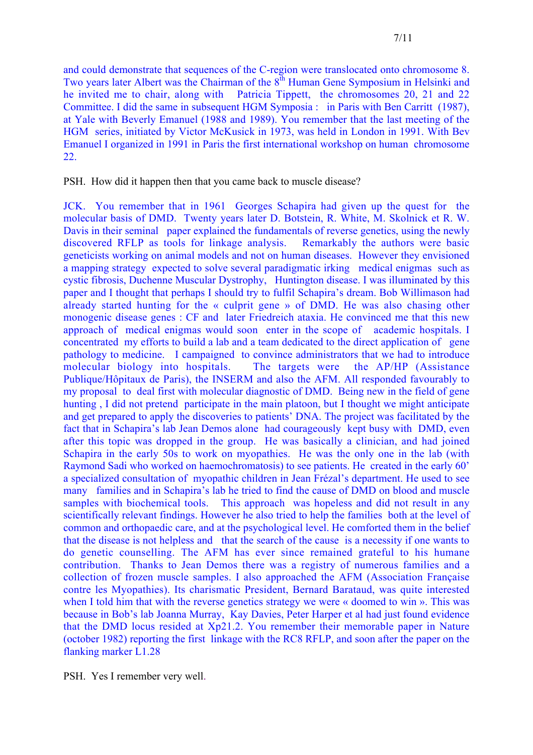and could demonstrate that sequences of the C-region were translocated onto chromosome 8. Two years later Albert was the Chairman of the 8<sup>th</sup> Human Gene Symposium in Helsinki and he invited me to chair, along with Patricia Tippett, the chromosomes 20, 21 and 22 Committee. I did the same in subsequent HGM Symposia : in Paris with Ben Carritt (1987), at Yale with Beverly Emanuel (1988 and 1989). You remember that the last meeting of the HGM series, initiated by Victor McKusick in 1973, was held in London in 1991. With Bev Emanuel I organized in 1991 in Paris the first international workshop on human chromosome 22.

PSH. How did it happen then that you came back to muscle disease?

JCK. You remember that in 1961 Georges Schapira had given up the quest for the molecular basis of DMD. Twenty years later D. Botstein, R. White, M. Skolnick et R. W. Davis in their seminal paper explained the fundamentals of reverse genetics, using the newly discovered RFLP as tools for linkage analysis. Remarkably the authors were basic geneticists working on animal models and not on human diseases. However they envisioned a mapping strategy expected to solve several paradigmatic irking medical enigmas such as cystic fibrosis, Duchenne Muscular Dystrophy, Huntington disease. I was illuminated by this paper and I thought that perhaps I should try to fulfil Schapira's dream. Bob Willimason had already started hunting for the « culprit gene » of DMD. He was also chasing other monogenic disease genes : CF and later Friedreich ataxia. He convinced me that this new approach of medical enigmas would soon enter in the scope of academic hospitals. I concentrated my efforts to build a lab and a team dedicated to the direct application of gene pathology to medicine. I campaigned to convince administrators that we had to introduce molecular biology into hospitals. The targets were the AP/HP (Assistance Publique/Hôpitaux de Paris), the INSERM and also the AFM. All responded favourably to my proposal to deal first with molecular diagnostic of DMD. Being new in the field of gene hunting , I did not pretend participate in the main platoon, but I thought we might anticipate and get prepared to apply the discoveries to patients' DNA. The project was facilitated by the fact that in Schapira's lab Jean Demos alone had courageously kept busy with DMD, even after this topic was dropped in the group. He was basically a clinician, and had joined Schapira in the early 50s to work on myopathies. He was the only one in the lab (with Raymond Sadi who worked on haemochromatosis) to see patients. He created in the early 60' a specialized consultation of myopathic children in Jean Frézal's department. He used to see many families and in Schapira's lab he tried to find the cause of DMD on blood and muscle samples with biochemical tools. This approach was hopeless and did not result in any scientifically relevant findings. However he also tried to help the families both at the level of common and orthopaedic care, and at the psychological level. He comforted them in the belief that the disease is not helpless and that the search of the cause is a necessity if one wants to do genetic counselling. The AFM has ever since remained grateful to his humane contribution. Thanks to Jean Demos there was a registry of numerous families and a collection of frozen muscle samples. I also approached the AFM (Association Française contre les Myopathies). Its charismatic President, Bernard Barataud, was quite interested when I told him that with the reverse genetics strategy we were « doomed to win ». This was because in Bob's lab Joanna Murray, Kay Davies, Peter Harper et al had just found evidence that the DMD locus resided at Xp21.2. You remember their memorable paper in Nature (october 1982) reporting the first linkage with the RC8 RFLP, and soon after the paper on the flanking marker L1.28

PSH. Yes I remember very well.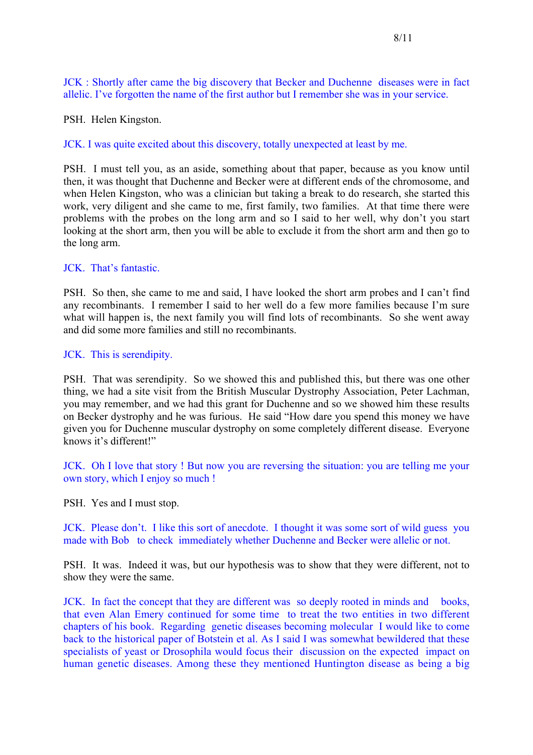JCK : Shortly after came the big discovery that Becker and Duchenne diseases were in fact allelic. I've forgotten the name of the first author but I remember she was in your service.

PSH. Helen Kingston.

JCK. I was quite excited about this discovery, totally unexpected at least by me.

PSH. I must tell you, as an aside, something about that paper, because as you know until then, it was thought that Duchenne and Becker were at different ends of the chromosome, and when Helen Kingston, who was a clinician but taking a break to do research, she started this work, very diligent and she came to me, first family, two families. At that time there were problems with the probes on the long arm and so I said to her well, why don't you start looking at the short arm, then you will be able to exclude it from the short arm and then go to the long arm.

## JCK. That's fantastic.

PSH. So then, she came to me and said, I have looked the short arm probes and I can't find any recombinants. I remember I said to her well do a few more families because I'm sure what will happen is, the next family you will find lots of recombinants. So she went away and did some more families and still no recombinants.

JCK. This is serendipity.

PSH. That was serendipity. So we showed this and published this, but there was one other thing, we had a site visit from the British Muscular Dystrophy Association, Peter Lachman, you may remember, and we had this grant for Duchenne and so we showed him these results on Becker dystrophy and he was furious. He said "How dare you spend this money we have given you for Duchenne muscular dystrophy on some completely different disease. Everyone knows it's different!"

JCK. Oh I love that story ! But now you are reversing the situation: you are telling me your own story, which I enjoy so much !

PSH. Yes and I must stop.

JCK. Please don't. I like this sort of anecdote. I thought it was some sort of wild guess you made with Bob to check immediately whether Duchenne and Becker were allelic or not.

PSH. It was. Indeed it was, but our hypothesis was to show that they were different, not to show they were the same.

JCK. In fact the concept that they are different was so deeply rooted in minds and books, that even Alan Emery continued for some time to treat the two entities in two different chapters of his book. Regarding genetic diseases becoming molecular I would like to come back to the historical paper of Botstein et al. As I said I was somewhat bewildered that these specialists of yeast or Drosophila would focus their discussion on the expected impact on human genetic diseases. Among these they mentioned Huntington disease as being a big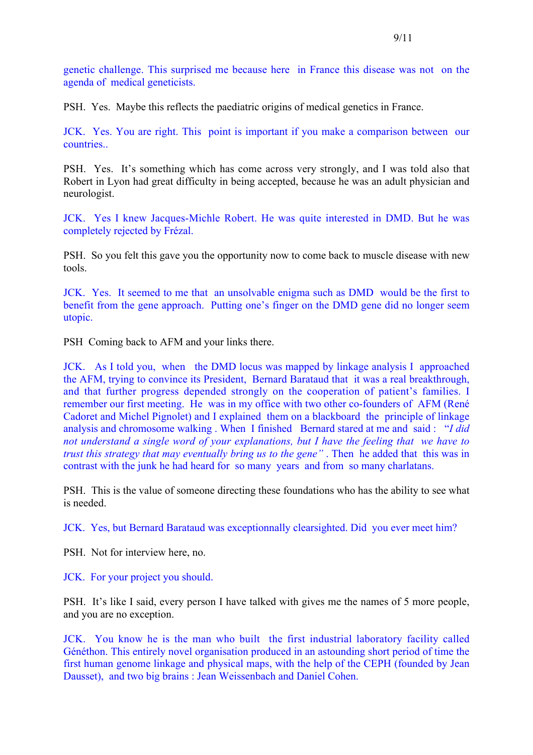genetic challenge. This surprised me because here in France this disease was not on the agenda of medical geneticists.

PSH. Yes. Maybe this reflects the paediatric origins of medical genetics in France.

JCK. Yes. You are right. This point is important if you make a comparison between our countries..

PSH. Yes. It's something which has come across very strongly, and I was told also that Robert in Lyon had great difficulty in being accepted, because he was an adult physician and neurologist.

JCK. Yes I knew Jacques-Michle Robert. He was quite interested in DMD. But he was completely rejected by Frézal.

PSH. So you felt this gave you the opportunity now to come back to muscle disease with new tools.

JCK. Yes. It seemed to me that an unsolvable enigma such as DMD would be the first to benefit from the gene approach. Putting one's finger on the DMD gene did no longer seem utopic.

PSH Coming back to AFM and your links there.

JCK. As I told you, when the DMD locus was mapped by linkage analysis I approached the AFM, trying to convince its President, Bernard Barataud that it was a real breakthrough, and that further progress depended strongly on the cooperation of patient's families. I remember our first meeting. He was in my office with two other co-founders of AFM (René Cadoret and Michel Pignolet) and I explained them on a blackboard the principle of linkage analysis and chromosome walking . When I finished Bernard stared at me and said : "*I did not understand a single word of your explanations, but I have the feeling that we have to trust this strategy that may eventually bring us to the gene"* . Then he added that this was in contrast with the junk he had heard for so many years and from so many charlatans.

PSH. This is the value of someone directing these foundations who has the ability to see what is needed.

JCK. Yes, but Bernard Barataud was exceptionnally clearsighted. Did you ever meet him?

PSH. Not for interview here, no.

JCK. For your project you should.

PSH. It's like I said, every person I have talked with gives me the names of 5 more people, and you are no exception.

JCK. You know he is the man who built the first industrial laboratory facility called Généthon. This entirely novel organisation produced in an astounding short period of time the first human genome linkage and physical maps, with the help of the CEPH (founded by Jean Dausset), and two big brains : Jean Weissenbach and Daniel Cohen.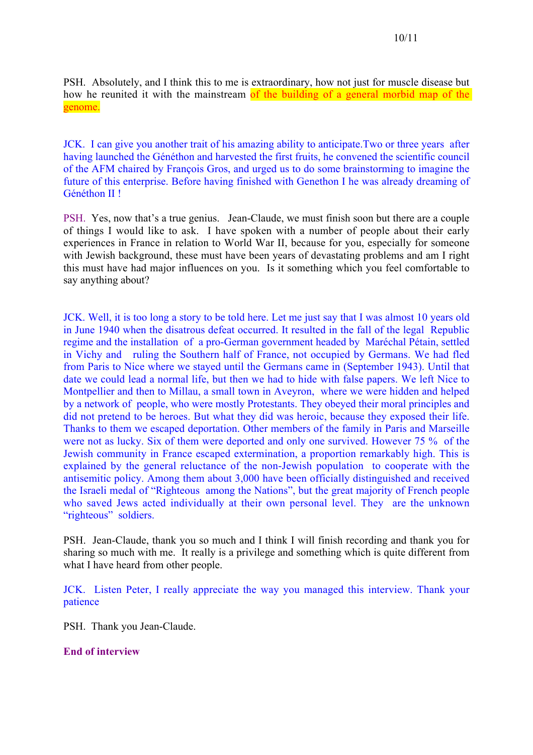PSH. Absolutely, and I think this to me is extraordinary, how not just for muscle disease but how he reunited it with the mainstream of the building of a general morbid map of the genome.

JCK. I can give you another trait of his amazing ability to anticipate.Two or three years after having launched the Généthon and harvested the first fruits, he convened the scientific council of the AFM chaired by François Gros, and urged us to do some brainstorming to imagine the future of this enterprise. Before having finished with Genethon I he was already dreaming of Généthon II !

PSH. Yes, now that's a true genius. Jean-Claude, we must finish soon but there are a couple of things I would like to ask. I have spoken with a number of people about their early experiences in France in relation to World War II, because for you, especially for someone with Jewish background, these must have been years of devastating problems and am I right this must have had major influences on you. Is it something which you feel comfortable to say anything about?

JCK. Well, it is too long a story to be told here. Let me just say that I was almost 10 years old in June 1940 when the disatrous defeat occurred. It resulted in the fall of the legal Republic regime and the installation of a pro-German government headed by Maréchal Pétain, settled in Vichy and ruling the Southern half of France, not occupied by Germans. We had fled from Paris to Nice where we stayed until the Germans came in (September 1943). Until that date we could lead a normal life, but then we had to hide with false papers. We left Nice to Montpellier and then to Millau, a small town in Aveyron, where we were hidden and helped by a network of people, who were mostly Protestants. They obeyed their moral principles and did not pretend to be heroes. But what they did was heroic, because they exposed their life. Thanks to them we escaped deportation. Other members of the family in Paris and Marseille were not as lucky. Six of them were deported and only one survived. However 75 % of the Jewish community in France escaped extermination, a proportion remarkably high. This is explained by the general reluctance of the non-Jewish population to cooperate with the antisemitic policy. Among them about 3,000 have been officially distinguished and received the Israeli medal of "Righteous among the Nations", but the great majority of French people who saved Jews acted individually at their own personal level. They are the unknown "righteous" soldiers.

PSH. Jean-Claude, thank you so much and I think I will finish recording and thank you for sharing so much with me. It really is a privilege and something which is quite different from what I have heard from other people.

JCK. Listen Peter, I really appreciate the way you managed this interview. Thank your patience

PSH. Thank you Jean-Claude.

#### **End of interview**